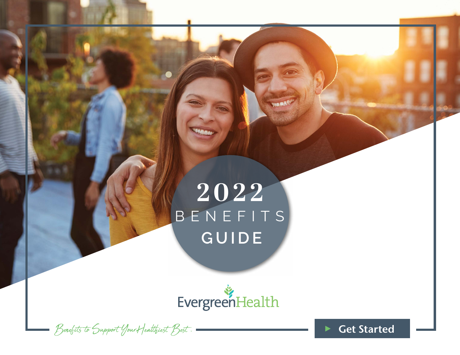# BENEFITS **GUIDE 2022**

**THE OIN** 

EvergreenHealth

 $B$ enefits to Support Your Healthiest  $B$ est.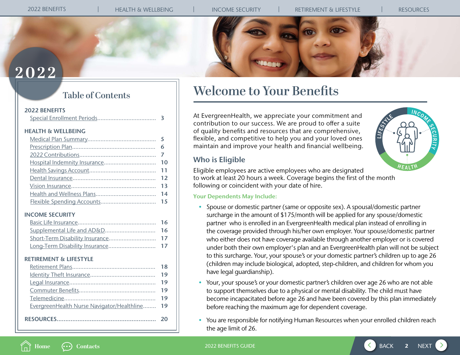

# <span id="page-1-0"></span>**2022**

## **Table of Contents**

### [2022 BENEFITS](#page-2-0)

| <b>HEALTH &amp; WELLBEING</b> |  |
|-------------------------------|--|
|                               |  |

### [INCOME SECURITY](#page-15-0)

## [RETIREMENT & LIFESTYLE](#page-17-0)

**Home [Contacts](#page-19-0)**

|                                               | 18 |
|-----------------------------------------------|----|
|                                               |    |
|                                               |    |
|                                               |    |
|                                               |    |
| EvergreenHealth Nurse Navigator/Healthline 19 |    |
|                                               |    |

# **Welcome to Your Benefits**

At EvergreenHealth, we appreciate your commitment and contribution to our success. We are proud to offer a suite of quality benefits and resources that are comprehensive, flexible, and competitive to help you and your loved ones maintain and improve your health and financial wellbeing.

## Who is Eligible



Eligible employees are active employees who are designated to work at least 20 hours a week. Coverage begins the first of the month following or coincident with your date of hire.

## Your Dependents May Include:

- Spouse or domestic partner (same or opposite sex). A spousal/domestic partner surcharge in the amount of \$175/month will be applied for any spouse/domestic partner who is enrolled in an EvergreenHealth medical plan instead of enrolling in the coverage provided through his/her own employer. Your spouse/domestic partner who either does not have coverage available through another employer or is covered under both their own employer's plan and an EvergreenHealth plan will not be subject to this surcharge. Your, your spouse's or your domestic partner's children up to age 26 (children may include biological, adopted, step-children, and children for whom you have legal guardianship).
- Your, your spouse's or your domestic partner's children over age 26 who are not able to support themselves due to a physical or mental disability. The child must have become incapacitated before age 26 and have been covered by this plan immediately before reaching the maximum age for dependent coverage.
- You are responsible for notifying Human Resources when your enrolled children reach the age limit of 26.

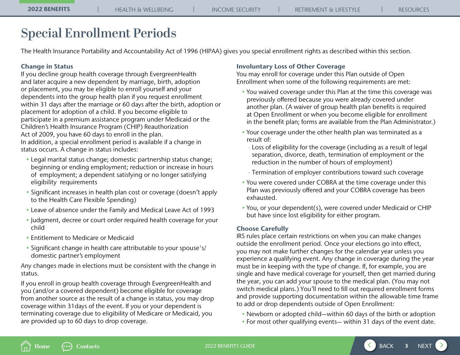# <span id="page-2-0"></span>**Special Enrollment Periods**

The Health Insurance Portability and Accountability Act of 1996 (HIPAA) gives you special enrollment rights as described within this section.

## Change in Status

If you decline group health coverage through EvergreenHealth and later acquire a new dependent by marriage, birth, adoption or placement, you may be eligible to enroll yourself and your dependents into the group health plan if you request enrollment within 31 days after the marriage or 60 days after the birth, adoption or placement for adoption of a child. If you become eligible to participate in a premium assistance program under Medicaid or the Children's Health Insurance Program (CHIP) Reauthorization Act of 2009, you have 60 days to enroll in the plan. In addition, a special enrollment period is available if a change in status occurs. A change in status includes:

- Legal marital status change; domestic partnership status change; beginning or ending employment; reduction or increase in hours of employment; a dependent satisfying or no longer satisfying eligibility requirements
- Significant increases in health plan cost or coverage (doesn't apply to the Health Care Flexible Spending)
- Leave of absence under the Family and Medical Leave Act of 1993
- Judgment, decree or court order required health coverage for your child
- Entitlement to Medicare or Medicaid
- Significant change in health care attributable to your spouse's/ domestic partner's employment

Any changes made in elections must be consistent with the change in status.

If you enroll in group health coverage through EvergreenHealth and you (and/or a covered dependent) become eligible for coverage from another source as the result of a change in status, you may drop coverage within 31days of the event. If you or your dependent is terminating coverage due to eligibility of Medicare or Medicaid, you are provided up to 60 days to drop coverage.

### Involuntary Loss of Other Coverage

You may enroll for coverage under this Plan outside of Open Enrollment when some of the following requirements are met:

- You waived coverage under this Plan at the time this coverage was previously offered because you were already covered under another plan. (A waiver of group health plan benefits is required at Open Enrollment or when you become eligible for enrollment in the benefit plan; forms are available from the Plan Administrator.)
- Your coverage under the other health plan was terminated as a result of:
	- Loss of eligibility for the coverage (including as a result of legal separation, divorce, death, termination of employment or the reduction in the number of hours of employment)
	- Termination of employer contributions toward such coverage
- You were covered under COBRA at the time coverage under this Plan was previously offered and your COBRA coverage has been exhausted.
- You, or your dependent(s), were covered under Medicaid or CHIP but have since lost eligibility for either program.

## Choose Carefully

IRS rules place certain restrictions on when you can make changes outside the enrollment period. Once your elections go into effect, you may not make further changes for the calendar year unless you experience a qualifying event. Any change in coverage during the year must be in keeping with the type of change. If, for example, you are single and have medical coverage for yourself, then get married during the year, you can add your spouse to the medical plan. (You may not switch medical plans.) You'll need to fill out required enrollment forms and provide supporting documentation within the allowable time frame to add or drop dependents outside of Open Enrollment:

- Newborn or adopted child—within 60 days of the birth or adoption
- For most other qualifying events— within 31 days of the event date.



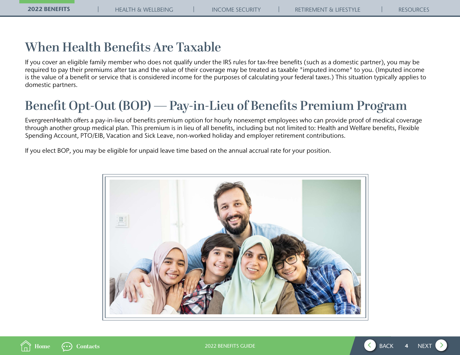# **When Health Benefits Are Taxable**

If you cover an eligible family member who does not qualify under the IRS rules for tax-free benefits (such as a domestic partner), you may be required to pay their premiums after tax and the value of their coverage may be treated as taxable "imputed income" to you. (Imputed income is the value of a benefit or service that is considered income for the purposes of calculating your federal taxes.) This situation typically applies to domestic partners.

# **Benefit Opt-Out (BOP) — Pay-in-Lieu of Benefits Premium Program**

EvergreenHealth offers a pay-in-lieu of benefits premium option for hourly nonexempt employees who can provide proof of medical coverage through another group medical plan. This premium is in lieu of all benefits, including but not limited to: Health and Welfare benefits, Flexible Spending Account, PTO/EIB, Vacation and Sick Leave, non-worked holiday and employer retirement contributions.

If you elect BOP, you may be eligible for unpaid leave time based on the annual accrual rate for your position.





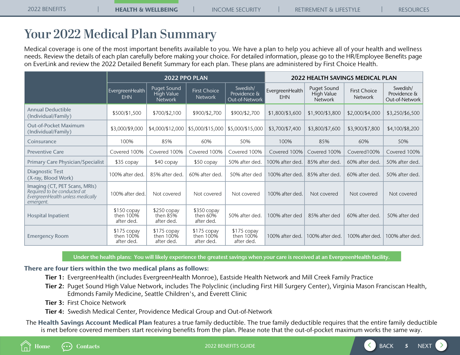# <span id="page-4-0"></span>**Your 2022 Medical Plan Summary**

Medical coverage is one of the most important benefits available to you. We have a plan to help you achieve all of your health and wellness needs. Review the details of each plan carefully before making your choice. For detailed information, please go to the HR/Employee Benefits page on EverLink and review the 2022 Detailed Benefit Summary for each plan. These plans are administered by First Choice Health.

|                                                                                                               | 2022 PPO PLAN                          |                                                    |                                          |                                            | <b>2022 HEALTH SAVINGS MEDICAL PLAN</b> |                                             |                                       |                                            |
|---------------------------------------------------------------------------------------------------------------|----------------------------------------|----------------------------------------------------|------------------------------------------|--------------------------------------------|-----------------------------------------|---------------------------------------------|---------------------------------------|--------------------------------------------|
|                                                                                                               | EvergreenHealth<br><b>EHN</b>          | Puget Sound<br><b>High Value</b><br><b>Network</b> | <b>First Choice</b><br><b>Network</b>    | Swedish/<br>Providence &<br>Out-of-Network | EvergreenHealth<br><b>EHN</b>           | Puget Sound<br>High Value<br><b>Network</b> | <b>First Choice</b><br><b>Network</b> | Swedish/<br>Providence &<br>Out-of-Network |
| <b>Annual Deductible</b><br>(Individual/Family)                                                               | \$500/\$1,500                          | \$700/\$2,100                                      | \$900/\$2,700                            | \$900/\$2,700                              | \$1,800/\$3,600                         | \$1,900/\$3,800                             | \$2,000/\$4,000                       | \$3,250/\$6,500                            |
| <b>Out-of-Pocket Maximum</b><br>(Individual/Family)                                                           | \$3,000/\$9,000                        | \$4,000/\$12,000                                   | \$5,000/\$15,000                         | \$5,000/\$15,000                           | \$3,700/\$7,400                         | \$3,800/\$7,600                             | \$3,900/\$7,800                       | \$4,100/\$8,200                            |
| Coinsurance                                                                                                   | 100%                                   | 85%                                                | 60%                                      | 50%                                        | 100%                                    | 85%                                         | 60%                                   | 50%                                        |
| <b>Preventive Care</b>                                                                                        | Covered 100%                           | Covered 100%                                       | Covered 100%                             | Covered 100%                               | Covered 100%                            | Covered 100%                                | Covered100%                           | Covered 100%                               |
| <b>Primary Care Physician/Specialist</b>                                                                      | \$35 copay                             | \$40 copay                                         | \$50 copay                               | 50% after ded.                             | 100% after ded.                         | 85% after ded.                              | 60% after ded.                        | 50% after ded.                             |
| Diagnostic Test<br>(X-ray, Blood Work)                                                                        | 100% after ded.                        | 85% after ded.                                     | 60% after ded.                           | 50% after ded                              | 100% after ded.                         | 85% after ded.                              | 60% after ded.                        | 50% after ded.                             |
| Imaging (CT, PET Scans, MRIs)<br>Required to be conducted at<br>EvergreenHealth unless medically<br>emergent. | 100% after ded.                        | Not covered                                        | Not covered                              | Not covered                                | 100% after ded.                         | Not covered                                 | Not covered                           | Not covered                                |
| <b>Hospital Inpatient</b>                                                                                     | \$150 copay<br>then 100%<br>after ded. | \$250 copay<br>then $85\%$<br>after ded.           | \$350 copay<br>then $60\%$<br>after ded. | 50% after ded.                             | 100% after ded                          | 85% after ded                               | 60% after ded.                        | 50% after ded                              |
| <b>Emergency Room</b>                                                                                         | \$175 copay<br>then 100%<br>after ded. | \$175 copay<br>then 100%<br>after ded.             | $$175$ copay<br>then 100%<br>after ded.  | \$175 copay<br>then 100%<br>after ded.     | 100% after ded.                         | 100% after ded.                             | 100% after ded.                       | 100% after ded.                            |

Under the health plans: You will likely experience the greatest savings when your care is received at an EvergreenHealth facility.

### There are four tiers within the two medical plans as follows:

Tier 1: EvergreenHealth (includes EvergreenHealth Monroe), Eastside Health Network and Mill Creek Family Practice

- Tier 2: Puget Sound High Value Network, includes The Polyclinic (including First Hill Surgery Center), Virginia Mason Franciscan Health, Edmonds Family Medicine, Seattle Children's, and Everett Clinic
- Tier 3: First Choice Network

Tier 4: Swedish Medical Center, Providence Medical Group and Out-of-Network

The Health Savings Account Medical Plan features a true family deductible. The true family deductible requires that the entire family deductible is met before covered members start receiving benefits from the plan. Please note that the out-of-pocket maximum works the same way.



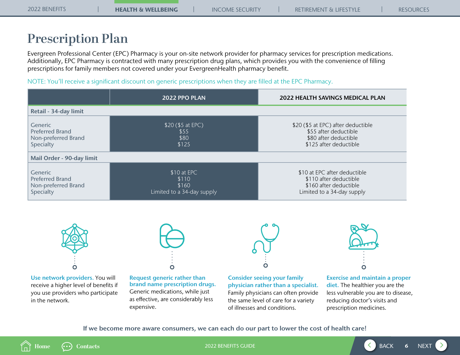# <span id="page-5-0"></span>**Prescription Plan**

Evergreen Professional Center (EPC) Pharmacy is your on-site network provider for pharmacy services for prescription medications. Additionally, EPC Pharmacy is contracted with many prescription drug plans, which provides you with the convenience of filling prescriptions for family members not covered under your EvergreenHealth pharmacy benefit.

NOTE: You'll receive a significant discount on generic prescriptions when they are filled at the EPC Pharmacy.

|                                                                              | 2022 PPO PLAN                                               | <b>2022 HEALTH SAVINGS MEDICAL PLAN</b>                                                                        |
|------------------------------------------------------------------------------|-------------------------------------------------------------|----------------------------------------------------------------------------------------------------------------|
| Retail - 34-day limit                                                        |                                                             |                                                                                                                |
| <b>Generic</b><br><b>Preferred Brand</b><br>Non-preferred Brand<br>Specialty | \$20 (\$5 at EPC)<br>\$55<br>\$80<br>\$125                  | \$20 (\$5 at EPC) after deductible<br>\$55 after deductible<br>\$80 after deductible<br>\$125 after deductible |
| Mail Order - 90-day limit                                                    |                                                             |                                                                                                                |
| Generic<br><b>Preferred Brand</b><br>Non-preferred Brand<br>Specialty        | \$10 at EPC<br>\$110<br>\$160<br>Limited to a 34-day supply | \$10 at EPC after deductible<br>\$110 after deductible<br>\$160 after deductible<br>Limited to a 34-day supply |



Use network providers. You will receive a higher level of benefits if you use providers who participate in the network.



Request generic rather than brand name prescription drugs. Generic medications, while just as effective, are considerably less expensive.

Consider seeing your family physician rather than a specialist. Family physicians can often provide the same level of care for a variety of illnesses and conditions.

 $\overline{O}$ 



Exercise and maintain a proper diet. The healthier you are the less vulnerable you are to disease, reducing doctor's visits and prescription medicines.

If we become more aware consumers, we can each do our part to lower the cost of health care!



2022 BENEFITS GUIDE 6

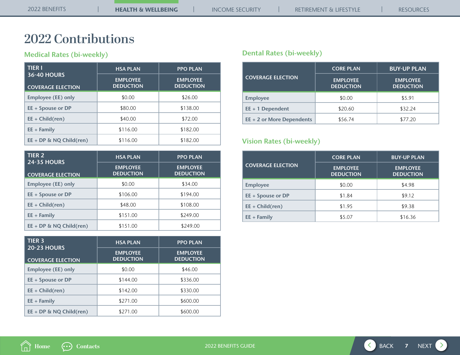# <span id="page-6-0"></span>**2022 Contributions**

## Medical Rates (bi-weekly)

| <b>TIER I</b>                                  | <b>HSA PLAN</b>                     | <b>PPO PLAN</b>                     |
|------------------------------------------------|-------------------------------------|-------------------------------------|
| <b>36-40 HOURS</b><br><b>COVERAGE ELECTION</b> | <b>EMPLOYEE</b><br><b>DEDUCTION</b> | <b>EMPLOYEE</b><br><b>DEDUCTION</b> |
| <b>Employee (EE) only</b>                      | \$0.00                              | \$26.00                             |
| $EE + Spouse$ or DP                            | \$80.00                             | \$138.00                            |
| $EE + Child(ren)$                              | \$40.00                             | \$72.00                             |
| $EE + Family$                                  | \$116.00                            | \$182.00                            |
| $EE + DP \& NQ Child (ren)$                    | \$116.00                            | \$182.00                            |

| <b>TIER 2</b>                                  | <b>HSA PLAN</b>                     | <b>PPO PLAN</b>                     |
|------------------------------------------------|-------------------------------------|-------------------------------------|
| <b>24-35 HOURS</b><br><b>COVERAGE ELECTION</b> | <b>EMPLOYEE</b><br><b>DEDUCTION</b> | <b>EMPLOYEE</b><br><b>DEDUCTION</b> |
| Employee (EE) only                             | \$0.00                              | \$34.00                             |
| $EE + Spouse$ or DP                            | \$106.00                            | \$194.00                            |
| $EE + Child (ren)$                             | \$48.00                             | \$108.00                            |
| $EE + Family$                                  | \$151.00                            | \$249.00                            |
| $EE + DP \& NQ Child (ren)$                    | \$151.00                            | \$249.00                            |

| <b>TIER 3</b><br><b>20-23 HOURS</b> | <b>HSA PLAN</b>                     | <b>PPO PLAN</b>                     |
|-------------------------------------|-------------------------------------|-------------------------------------|
| <b>COVERAGE ELECTION</b>            | <b>EMPLOYEE</b><br><b>DEDUCTION</b> | <b>EMPLOYEE</b><br><b>DEDUCTION</b> |
| <b>Employee (EE) only</b>           | \$0.00                              | \$46.00                             |
| $EE + Spouse$ or DP                 | \$144.00                            | \$336.00                            |
| $EE + Child (ren)$                  | \$142.00                            | \$330.00                            |
| $EE + Family$                       | \$271.00                            | \$600.00                            |
| EE + DP & NQ Child(ren)             | \$271.00                            | \$600.00                            |

## Dental Rates (bi-weekly)

|                           | <b>CORE PLAN</b>                    | <b>BUY-UP PLAN</b>                  |
|---------------------------|-------------------------------------|-------------------------------------|
| <b>COVERAGE ELECTION</b>  | <b>EMPLOYEE</b><br><b>DEDUCTION</b> | <b>EMPLOYEE</b><br><b>DEDUCTION</b> |
| <b>Employee</b>           | \$0.00                              | \$5.91                              |
| $EE + 1$ Dependent        | \$20.60                             | \$32.24                             |
| EE + 2 or More Dependents | \$56.74                             | \$77.20                             |

## Vision Rates (bi-weekly)

|                          | <b>CORE PLAN</b>                    | <b>BUY-UP PLAN</b>                  |
|--------------------------|-------------------------------------|-------------------------------------|
| <b>COVERAGE ELECTION</b> | <b>EMPLOYEE</b><br><b>DEDUCTION</b> | <b>EMPLOYEE</b><br><b>DEDUCTION</b> |
| <b>Employee</b>          | \$0.00                              | \$4.98                              |
| $EE + Spouse$ or DP      | \$1.84                              | \$9.12                              |
| $EE + Child (ren)$       | \$1.95                              | \$9.38                              |
| $EE + Family$            | \$5.07                              | \$16.36                             |



2022 BENEFITS GUIDE **7 AND THE SERVICE STATE AND THE SERVICE STATE OF SERVICE STATE AND THE SERVICE STATE OF SERVICE STATE AND THE SERVICE STATE OF SERVICE STATE AND THE SERVICE STATE OF SERVICE STATE AND THE SERVICE STA**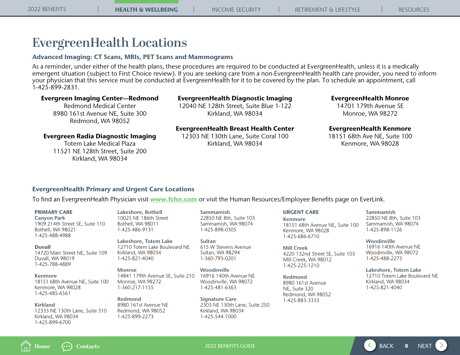# **EvergreenHealth Locations**

## Advanced Imaging: CT Scans, MRIs, PET Scans and Mammograms

As a reminder, under either of the health plans, these procedures are required to be conducted at EvergreenHealth, unless it is a medically emergent situation (subject to First Choice review). If you are seeking care from a non-EvergreenHealth health care provider, you need to inform your physician that this service must be conducted at EvergreenHealth for it to be covered by the plan. To schedule an appointment, call 1-425-899-2831.

## Evergreen Imaging Center—Redmond

Redmond Medical Center 8980 161st Avenue NE, Suite 300 Redmond, WA 98052

### EvergreenHealth Diagnostic Imaging

12040 NE 128th Street, Suite Blue 1-122 Kirkland, WA 98034

### Evergreen Radia Diagnostic Imaging

Totem Lake Medical Plaza 11521 NE 128th Street, Suite 200 Kirkland, WA 98034

EvergreenHealth Breast Health Center 12303 NE 130th Lane, Suite Coral 100 Kirkland, WA 98034

### EvergreenHealth Monroe

14701 179th Avenue SE Monroe, WA 98272

## EvergreenHealth Kenmore

18151 68th Ave NE, Suite 100 Kenmore, WA 98028

## EvergreenHealth Primary and Urgent Care Locations

To find an EvergreenHealth Physician visit [www.fchn.com](http://www.fchn.com) or visit the Human Resources/Employee Benefits page on EverLink.

### PRIMARY CARE

Canyon Park 1909 214th Street SE, Suite 110 Bothell, WA 98021 1-425-488-4988

### Duvall

14720 Main Street NE, Suite 109 Duvall, WA 98019 1-425-788-4889

### Kenmore

18151 68th Avenue NE, Suite 100 Kenmore, WA 98028 1-425-485-6561

### Kirkland 12333 NE 130th Lane, Suite 310 Kirkland, WA 98034 1-425-899-6700

Lakeshore, Bothell 10025 NE 186th Street Bothell, WA 98011 1-425-486-9131

> Lakeshore, Totem Lake 12710 Totem Lake Boulevard NE Kirkland, WA 98034 1-425-821-4040

### Monroe 14841 179th Avenue SE, Suite 210 Monroe, WA 98272 1-360-217-1155

Redmond 8980 161st Avenue NE Redmond, WA 98052 1-425-899-2273

Sammamish 22850 NE 8th, Suite 103 Sammamish, WA 98074 1-425-898-0305

Sultan 615 W Stevens Avenue Sultan, WA 98294 1-360-793-0201

Woodinville 16916 140th Avenue NE Woodinville, WA 98072 1-425-481-6363

Signature Care 2303 NE 130th Lane, Suite 250 Kirkland, WA 98034 1-425-544-1000

### URGENT CARE

Kenmore 18151 68th Avenue NE, Suite 100 Kenmore, WA 98028 1-425-686-6710

Mill Creek 4220 132nd Street SE, Suite 103 Mill Creek, WA 98012 1-425-225-1210

Redmond 8980 161st Avenue NE, Suite 320 Redmond, WA 98052 1-425-883-3333

### Sammamish

22850 NE 8th, Suite 103 Sammamish, WA 98074 1-425-898-1126

Woodinville

16916 140th Avenue NE Woodinville, WA 98072 1-425-488-2273

### Lakeshore, Totem Lake

12710 Totem Lake Boulevard NE Kirkland, WA 98034 1-425-821-4040



2022 BENEFITS GUIDE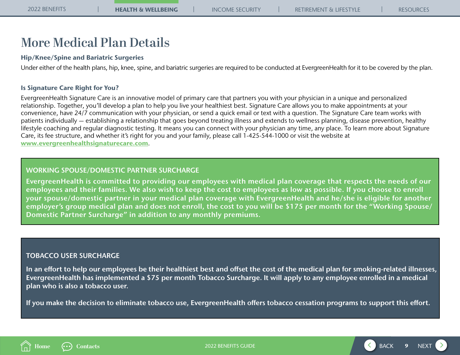# **More Medical Plan Details**

## Hip/Knee/Spine and Bariatric Surgeries

Under either of the health plans, hip, knee, spine, and bariatric surgeries are required to be conducted at EvergreenHealth for it to be covered by the plan.

## Is Signature Care Right for You?

EvergreenHealth Signature Care is an innovative model of primary care that partners you with your physician in a unique and personalized relationship. Together, you'll develop a plan to help you live your healthiest best. Signature Care allows you to make appointments at your convenience, have 24/7 communication with your physician, or send a quick email or text with a question. The Signature Care team works with patients individually — establishing a relationship that goes beyond treating illness and extends to wellness planning, disease prevention, healthy lifestyle coaching and regular diagnostic testing. It means you can connect with your physician any time, any place. To learn more about Signature Care, its fee structure, and whether it's right for you and your family, please call 1-425-544-1000 or visit the website at [www.evergreenhealthsignaturecare.com](http://www.evergreenhealthsignaturecare.com).

## WORKING SPOUSE/DOMESTIC PARTNER SURCHARGE

EvergreenHealth is committed to providing our employees with medical plan coverage that respects the needs of our employees and their families. We also wish to keep the cost to employees as low as possible. If you choose to enroll your spouse/domestic partner in your medical plan coverage with EvergreenHealth and he/she is eligible for another employer's group medical plan and does not enroll, the cost to you will be \$175 per month for the "Working Spouse/ Domestic Partner Surcharge" in addition to any monthly premiums.

## TOBACCO USER SURCHARGE

In an effort to help our employees be their healthiest best and offset the cost of the medical plan for smoking-related illnesses, EvergreenHealth has implemented a \$75 per month Tobacco Surcharge. It will apply to any employee enrolled in a medical plan who is also a tobacco user.

If you make the decision to eliminate tobacco use, EvergreenHealth offers tobacco cessation programs to support this effort.



2022 BENEFITS GUIDE

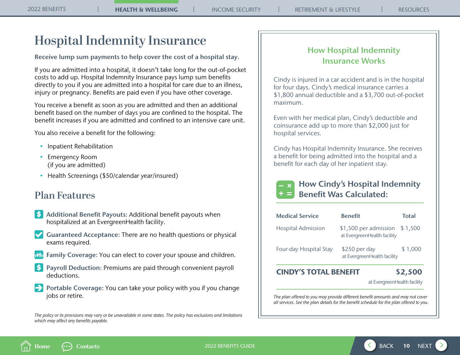# <span id="page-9-0"></span>**Hospital Indemnity Insurance**

Receive lump sum payments to help cover the cost of a hospital stay.

If you are admitted into a hospital, it doesn't take long for the out-of-pocket costs to add up. Hospital Indemnity Insurance pays lump sum benefits directly to you if you are admitted into a hospital for care due to an illness, injury or pregnancy. Benefits are paid even if you have other coverage.

You receive a benefit as soon as you are admitted and then an additional benefit based on the number of days you are confined to the hospital. The benefit increases if you are admitted and confined to an intensive care unit.

You also receive a benefit for the following:

- Inpatient Rehabilitation
- Emergency Room (if you are admitted)
- Health Screenings (\$50/calendar year/insured)

# **Plan Features**

- **S** Additional Benefit Payouts: Additional benefit payouts when hospitalized at an EvergreenHealth facility.
- Guaranteed Acceptance: There are no health questions or physical exams required.
- Family Coverage: You can elect to cover your spouse and children.
- Payroll Deduction: Premiums are paid through convenient payroll deductions.
- Portable Coverage: You can take your policy with you if you change jobs or retire.

*The policy or its provisions may vary or be unavailable in some states. The policy has exclusions and limitations which may affect any benefits payable.* 

## How Hospital Indemnity Insurance Works

Cindy is injured in a car accident and is in the hospital for four days. Cindy's medical insurance carries a \$1,800 annual deductible and a \$3,700 out-of-pocket maximum.

Even with her medical plan, Cindy's deductible and coinsurance add up to more than \$2,000 just for hospital services.

Cindy has Hospital Indemnity Insurance. She receives a benefit for being admitted into the hospital and a benefit for each day of her inpatient stay.



## How Cindy's Hospital Indemnity Benefit Was Calculated:

| <b>Medical Service</b>    | <b>Benefit</b>                                       | <b>Total</b> |
|---------------------------|------------------------------------------------------|--------------|
| <b>Hospital Admission</b> | \$1,500 per admission<br>at EvergreenHealth facility | \$1,500      |
| Four-day Hospital Stay    | \$250 per day<br>at EvergreenHealth facility         | \$1,000      |

## CINDY'S TOTAL BENEFIT \$2,500

at EvergreenHealth facility

*The plan offered to you may provide different benefit amounts and may not cover all services. See the plan details for the benefit schedule for the plan offered to you.*



2022 BENEFITS GUIDE 10

 $\left\langle \right\rangle$  $10$  NEXT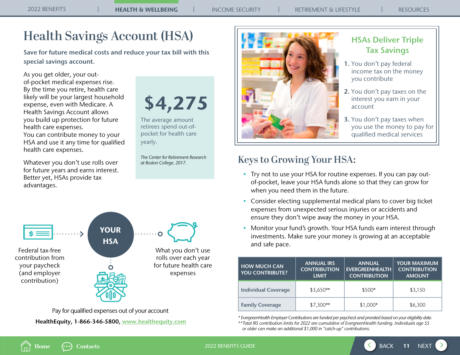# <span id="page-10-0"></span>**Health Savings Account (HSA)**

Save for future medical costs and reduce your tax bill with this special savings account.

As you get older, your outof-pocket medical expenses rise. By the time you retire, health care likely will be your largest household expense, even with Medicare. A Health Savings Account allows you build up protection for future health care expenses.

You can contribute money to your HSA and use it any time for qualified health care expenses.

Whatever you don't use rolls over for future years and earns interest. Better yet, HSAs provide tax advantages.

\$4,275

The average amount retirees spend out-ofpocket for health care yearly.

*The Center for Retirement Research at Boston College, 2017.*



 HealthEquity, 1-866-346-5800, [www.healthequity.com](http://www.healthequity.com) Pay for qualified expenses out of your account



## HSAs Deliver Triple Tax Savings

- 1. You don't pay federal income tax on the money you contribute
- 2. You don't pay taxes on the interest you earn in your account
- 3. You don't pay taxes when you use the money to pay for qualified medical services

# **Keys to Growing Your HSA:**

- Try not to use your HSA for routine expenses. If you can pay outof-pocket, leave your HSA funds alone so that they can grow for when you need them in the future.
- Consider electing supplemental medical plans to cover big ticket expenses from unexpected serious injuries or accidents and ensure they don't wipe away the money in your HSA.
- Monitor your fund's growth. Your HSA funds earn interest through investments. Make sure your money is growing at an acceptable and safe pace.

| <b>HOW MUCH CAN</b><br><b>YOU CONTRIBUTE?</b> | <b>ANNUAL IRS</b><br><b>CONTRIBUTION</b><br><b>LIMIT</b> | <b>ANNUAL</b><br><b>EVERGREENHEALTH</b><br><b>CONTRIBUTION</b> | <b>YOUR MAXIMUM</b><br><b>CONTRIBUTION</b><br><b>AMOUNT</b> |  |  |
|-----------------------------------------------|----------------------------------------------------------|----------------------------------------------------------------|-------------------------------------------------------------|--|--|
| <b>Individual Coverage</b>                    | $$3,650**$                                               | $$500*$                                                        | \$3,150                                                     |  |  |
| <b>Family Coverage</b>                        | $$7,300**$                                               | \$1,000*                                                       | \$6,300                                                     |  |  |

*\* EvergreenHealth Employer Contributions are funded per paycheck and prorated based on your eligibility date. \*\*Total IRS contribution limits for 2022 are cumulative of EvergreenHealth funding. Individuals age 55 or older can make an additional \$1,000 in "catch-up" contributions.*

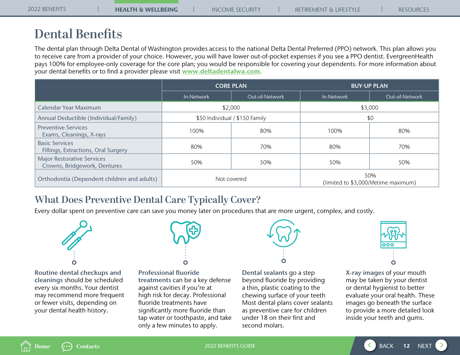# <span id="page-11-0"></span>**Dental Benefits**

The dental plan through Delta Dental of Washington provides access to the national Delta Dental Preferred (PPO) network. This plan allows you to receive care from a provider of your choice. However, you will have lower out-of-pocket expenses if you see a PPO dentist. EvergreenHealth pays 100% for employee-only coverage for the core plan; you would be responsible for covering your dependents. For more information about your dental benefits or to find a provider please visit [www.deltadentalwa.com](http://www.deltadentalwa.com).

|                                                                   |             | <b>CORE PLAN</b>               | <b>BUY-UP PLAN</b> |                                              |  |  |  |
|-------------------------------------------------------------------|-------------|--------------------------------|--------------------|----------------------------------------------|--|--|--|
|                                                                   | In-Network  | Out-of-Network                 | In-Network         | Out-of-Network                               |  |  |  |
| Calendar Year Maximum                                             |             | \$2,000                        | \$3,000            |                                              |  |  |  |
| Annual Deductible (Individual/Family)                             |             | \$50 Individual / \$150 Family | \$0                |                                              |  |  |  |
| <b>Preventive Services</b><br>Exams, Cleanings, X-rays            | 100%        | 80%                            | 100%               | 80%                                          |  |  |  |
| <b>Basic Services</b><br>Fillings, Extractions, Oral Surgery      | 80%<br>70%  |                                | 80%                | 70%                                          |  |  |  |
| <b>Major Restorative Services</b><br>Crowns, Bridgework, Dentures | 50%         | 50%                            | 50%                | 50%                                          |  |  |  |
| Orthodontia (Dependent children and adults)                       | Not covered |                                |                    | 50%<br>(limited to \$3,000/lifetime maximum) |  |  |  |

# **What Does Preventive Dental Care Typically Cover?**

Every dollar spent on preventive care can save you money later on procedures that are more urgent, complex, and costly.



Routine dental checkups and cleanings should be scheduled every six months. Your dentist may recommend more frequent or fewer visits, depending on your dental health history.



Professional fluoride treatments can be a key defense against cavities if you're at high risk for decay. Professional fluoride treatments have significantly more fluoride than tap water or toothpaste, and take only a few minutes to apply.



Dental sealants go a step beyond fluoride by providing a thin, plastic coating to the chewing surface of your teeth Most dental plans cover sealants as preventive care for children under 18 on their first and second molars.



X-ray images of your mouth may be taken by your dentist or dental hygienist to better evaluate your oral health. These images go beneath the surface to provide a more detailed look inside your teeth and gums.



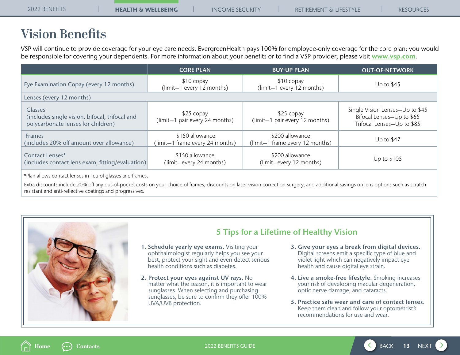# <span id="page-12-0"></span>**Vision Benefits**

VSP will continue to provide coverage for your eye care needs. EvergreenHealth pays 100% for employee-only coverage for the core plan; you would be responsible for covering your dependents. For more information about your benefits or to find a VSP provider, please visit [www.vsp.com](http://www.vsp.com).

|                                                                                                        | <b>CORE PLAN</b>                                   | <b>BUY-UP PLAN</b>                                 | <b>OUT-OF-NETWORK</b>                                                                      |
|--------------------------------------------------------------------------------------------------------|----------------------------------------------------|----------------------------------------------------|--------------------------------------------------------------------------------------------|
| Eye Examination Copay (every 12 months)                                                                | \$10 copay<br>(limit-1 every 12 months)            | $$10$ copay<br>(limit-1 every 12 months)           | Up to $$45$                                                                                |
| Lenses (every 12 months)                                                                               |                                                    |                                                    |                                                                                            |
| <b>Glasses</b><br>(includes single vision, bifocal, trifocal and<br>polycarbonate lenses for children) | \$25 copay<br>(limit-1 pair every 24 months)       | $$25$ copay<br>(limit-1 pair every 12 months)      | Single Vision Lenses-Up to \$45<br>Bifocal Lenses-Up to \$65<br>Trifocal Lenses-Up to \$85 |
| <b>Frames</b><br>(includes 20% off amount over allowance)                                              | \$150 allowance<br>(limit-1 frame every 24 months) | \$200 allowance<br>(limit-1 frame every 12 months) | Up to $$47$                                                                                |
| Contact Lenses*<br>(includes contact lens exam, fitting/evaluation)                                    | \$150 allowance<br>(limit-every 24 months)         | \$200 allowance<br>(limit-every 12 months)         | Up to \$105                                                                                |
|                                                                                                        |                                                    |                                                    |                                                                                            |

\*Plan allows contact lenses in lieu of glasses and frames.

Extra discounts include 20% off any out-of-pocket costs on your choice of frames, discounts on laser vision correction surgery, and additional savings on lens options such as scratch resistant and anti-reflective coatings and progressives.



## 5 Tips for a Lifetime of Healthy Vision

- 1. Schedule yearly eye exams. Visiting your ophthalmologist regularly helps you see your best, protect your sight and even detect serious health conditions such as diabetes.
- 2. Protect your eyes against UV rays. No matter what the season, it is important to wear sunglasses. When selecting and purchasing sunglasses, be sure to confirm they offer 100% UVA/UVB protection.
- 3. Give your eyes a break from digital devices. Digital screens emit a specific type of blue and violet light which can negatively impact eye health and cause digital eye strain.
- 4. Live a smoke-free lifestyle. Smoking increases your risk of developing macular degeneration, optic nerve damage, and cataracts.
- 5. Practice safe wear and care of contact lenses. Keep them clean and follow your optometrist's recommendations for use and wear.



2022 BENEFITS GUIDE 13 A 2022 BENEFITS GUIDE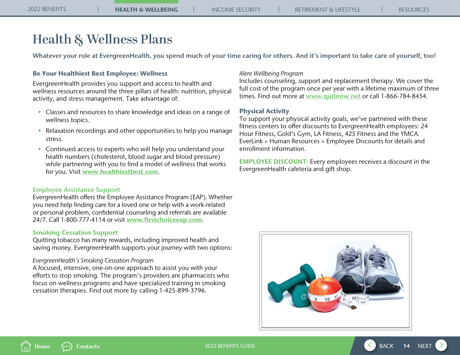# <span id="page-13-0"></span>**Health & Wellness Plans**

Whatever your role at EvergreenHealth, you spend much of your time caring for others. And it's important to take care of yourself, too!

## Be Your Healthiest Best Employee: Wellness

EvergreenHealth provides you support and access to health and wellness resources around the three pillars of health: nutrition, physical activity, and stress management. Take advantage of:

- Classes and resources to share knowledge and ideas on a range of wellness topics.
- Relaxation recordings and other opportunities to help you manage stress.
- Continued access to experts who will help you understand your health numbers (cholesterol, blood sugar and blood pressure) while partnering with you to find a model of wellness that works for you. Visit [www.healthiestbest.com](https://www.healthiestbest.com/be-your-healthiest-best/).

### Employee Assistance Support

EvergreenHealth offers the Employee Assistance Program (EAP). Whether you need help finding care for a loved one or help with a work-related or personal problem, confidential counseling and referrals are available 24/7. Call 1-800-777-4114 or visit [www.firstchoiceeap.com](http://www.firstchoiceeap.com).

### Smoking Cessation Support

Quitting tobacco has many rewards, including improved health and saving money. EvergreenHealth supports your journey with two options:

### *EvergreenHealth's Smoking Cessation Program*

A focused, intensive, one-on-one approach to assist you with your efforts to stop smoking. The program's providers are pharmacists who focus on wellness programs and have specialized training in smoking cessation therapies. Find out more by calling 1-425-899-3796.

### *Alere Wellbeing Program*

Includes counseling, support and replacement therapy. We cover the full cost of the program once per year with a lifetime maximum of three times. Find out more at [www.quitnow.net](http://www.quitnow.net) or call 1-866-784-8454.

### Physical Activity

To support your physical activity goals, we've partnered with these fitness centers to offer discounts to EvergreenHealth employees: 24 Hour Fitness, Gold's Gym, LA Fitness, 425 Fitness and the YMCA. EverLink > Human Resources > Employee Discounts for details and enrollment information.

EMPLOYEE DISCOUNT: Every employees receives a discount in the EvergreenHealth cafeteria and gift shop.



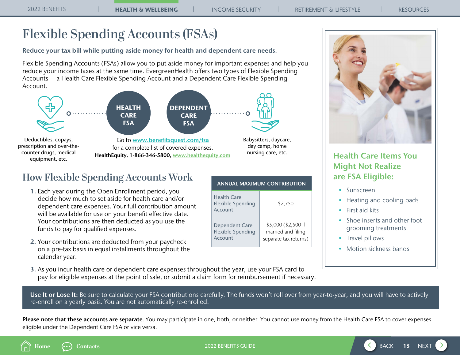# <span id="page-14-0"></span>**Flexible Spending Accounts (FSAs)**

Reduce your tax bill while putting aside money for health and dependent care needs.

Flexible Spending Accounts (FSAs) allow you to put aside money for important expenses and help you reduce your income taxes at the same time. EvergreenHealth offers two types of Flexible Spending Accounts — a Health Care Flexible Spending Account and a Dependent Care Flexible Spending Account.



# **How Flexible Spending Accounts Work**

- 1. Each year during the Open Enrollment period, you decide how much to set aside for health care and/or dependent care expenses. Your full contribution amount will be available for use on your benefit effective date. Your contributions are then deducted as you use the funds to pay for qualified expenses.
- 2. Your contributions are deducted from your paycheck on a pre-tax basis in equal installments throughout the calendar year.

| <b>ANNUAL MAXIMUM CONTRIBUTION</b>                           |                                                                    |  |  |  |  |
|--------------------------------------------------------------|--------------------------------------------------------------------|--|--|--|--|
| Health Care<br><b>Flexible Spending</b><br>Account           | \$2,750                                                            |  |  |  |  |
| <b>Dependent Care</b><br><b>Flexible Spending</b><br>Account | \$5,000 (\$2,500 if<br>married and filing<br>separate tax returns) |  |  |  |  |



## Health Care Items You Might Not Realize are FSA Eligible:

- Sunscreen
- Heating and cooling pads
- First aid kits
- Shoe inserts and other foot grooming treatments
- Travel pillows
- Motion sickness bands

3. As you incur health care or dependent care expenses throughout the year, use your FSA card to pay for eligible expenses at the point of sale, or submit a claim form for reimbursement if necessary.

Use It or Lose It: Be sure to calculate your FSA contributions carefully. The funds won't roll over from year-to-year, and you will have to actively re-enroll on a yearly basis. You are not automatically re-enrolled.

Please note that these accounts are separate. You may participate in one, both, or neither. You cannot use money from the Health Care FSA to cover expenses eligible under the Dependent Care FSA or vice versa.



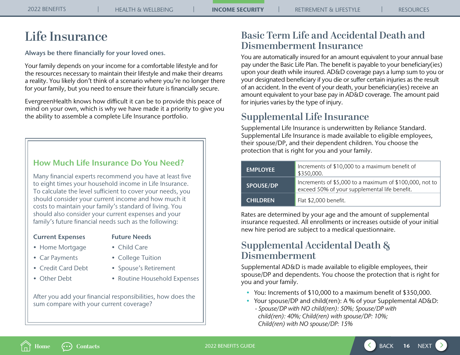# <span id="page-15-0"></span>**Life Insurance**

Always be there financially for your loved ones.

Your family depends on your income for a comfortable lifestyle and for the resources necessary to maintain their lifestyle and make their dreams a reality. You likely don't think of a scenario where you're no longer there for your family, but you need to ensure their future is financially secure.

EvergreenHealth knows how difficult it can be to provide this peace of mind on your own, which is why we have made it a priority to give you the ability to assemble a complete Life Insurance portfolio.

## How Much Life Insurance Do You Need?

Many financial experts recommend you have at least five to eight times your household income in Life Insurance. To calculate the level sufficient to cover your needs, you should consider your current income and how much it costs to maintain your family's standard of living. You should also consider your current expenses and your family's future financial needs such as the following:

## Current Expenses Future Needs

- Home Mortgage Child Care
- 
- 
- 
- 
- Car Payments College Tuition
- Credit Card Debt Spouse's Retirement
- Other Debt Routine Household Expenses

After you add your financial responsibilities, how does the sum compare with your current coverage?

# **Basic Term Life and Accidental Death and Dismemberment Insurance**

You are automatically insured for an amount equivalent to your annual base pay under the Basic Life Plan. The benefit is payable to your beneficiary(ies) upon your death while insured. AD&D coverage pays a lump sum to you or your designated beneficiary if you die or suffer certain injuries as the result of an accident. In the event of your death, your beneficiary(ies) receive an amount equivalent to your base pay in AD&D coverage. The amount paid for injuries varies by the type of injury.

# **Supplemental Life Insurance**

Supplemental Life Insurance is underwritten by Reliance Standard. Supplemental Life Insurance is made available to eligible employees, their spouse/DP, and their dependent children. You choose the protection that is right for you and your family.

| <b>EMPLOYEE</b>  | Increments of \$10,000 to a maximum benefit of<br>\$350,000.                                             |
|------------------|----------------------------------------------------------------------------------------------------------|
| <b>SPOUSE/DP</b> | Increments of \$5,000 to a maximum of \$100,000, not to<br>exceed 50% of your supplemental life benefit. |
| <b>CHILDREN</b>  | Flat \$2,000 benefit.                                                                                    |

Rates are determined by your age and the amount of supplemental insurance requested. All enrollments or increases outside of your initial new hire period are subject to a medical questionnaire.

# **Supplemental Accidental Death & Dismemberment**

Supplemental AD&D is made available to eligible employees, their spouse/DP and dependents. You choose the protection that is right for you and your family.

- You: Increments of \$10,000 to a maximum benefit of \$350,000.
- Your spouse/DP and child(ren): A % of your Supplemental AD&D:
	- *Spouse/DP with NO child(ren): 50%; Spouse/DP with child(ren): 40%; Child(ren) with spouse/DP: 10%; Child(ren) with NO spouse/DP: 15%*



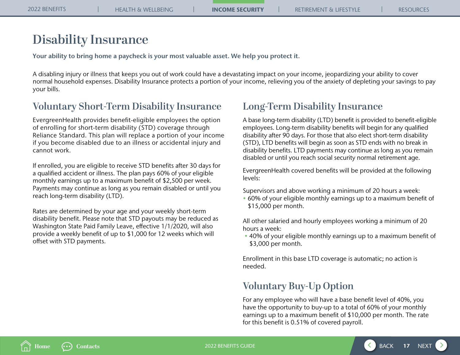# <span id="page-16-0"></span>**Disability Insurance**

Your ability to bring home a paycheck is your most valuable asset. We help you protect it.

A disabling injury or illness that keeps you out of work could have a devastating impact on your income, jeopardizing your ability to cover normal household expenses. Disability Insurance protects a portion of your income, relieving you of the anxiety of depleting your savings to pay your bills.

# **Voluntary Short-Term Disability Insurance**

EvergreenHealth provides benefit-eligible employees the option of enrolling for short-term disability (STD) coverage through Reliance Standard. This plan will replace a portion of your income if you become disabled due to an illness or accidental injury and cannot work.

If enrolled, you are eligible to receive STD benefits after 30 days for a qualified accident or illness. The plan pays 60% of your eligible monthly earnings up to a maximum benefit of \$2,500 per week. Payments may continue as long as you remain disabled or until you reach long-term disability (LTD).

Rates are determined by your age and your weekly short-term disability benefit. Please note that STD payouts may be reduced as Washington State Paid Family Leave, effective 1/1/2020, will also provide a weekly benefit of up to \$1,000 for 12 weeks which will offset with STD payments.

# **Long-Term Disability Insurance**

A base long-term disability (LTD) benefit is provided to benefit-eligible employees. Long-term disability benefits will begin for any qualified disability after 90 days. For those that also elect short-term disability (STD), LTD benefits will begin as soon as STD ends with no break in disability benefits. LTD payments may continue as long as you remain disabled or until you reach social security normal retirement age.

EvergreenHealth covered benefits will be provided at the following levels:

Supervisors and above working a minimum of 20 hours a week:

• 60% of your eligible monthly earnings up to a maximum benefit of \$15,000 per month.

All other salaried and hourly employees working a minimum of 20 hours a week:

 • 40% of your eligible monthly earnings up to a maximum benefit of \$3,000 per month.

Enrollment in this base LTD coverage is automatic; no action is needed.

# **Voluntary Buy-Up Option**

For any employee who will have a base benefit level of 40%, you have the opportunity to buy-up to a total of 60% of your monthly earnings up to a maximum benefit of \$10,000 per month. The rate for this benefit is 0.51% of covered payroll.



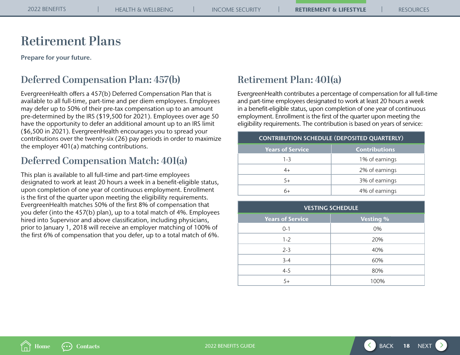# <span id="page-17-0"></span>**Retirement Plans**

Prepare for your future.

# **Deferred Compensation Plan: 457(b)**

EvergreenHealth offers a 457(b) Deferred Compensation Plan that is available to all full-time, part-time and per diem employees. Employees may defer up to 50% of their pre-tax compensation up to an amount pre-determined by the IRS (\$19,500 for 2021). Employees over age 50 have the opportunity to defer an additional amount up to an IRS limit (\$6,500 in 2021). EvergreenHealth encourages you to spread your contributions over the twenty-six (26) pay periods in order to maximize the employer 401(a) matching contributions.

# **Deferred Compensation Match: 401(a)**

This plan is available to all full-time and part-time employees designated to work at least 20 hours a week in a benefit-eligible status, upon completion of one year of continuous employment. Enrollment is the first of the quarter upon meeting the eligibility requirements. EvergreenHealth matches 50% of the first 8% of compensation that you defer (into the 457(b) plan), up to a total match of 4%. Employees hired into Supervisor and above classification, including physicians, prior to January 1, 2018 will receive an employer matching of 100% of the first 6% of compensation that you defer, up to a total match of 6%.

# **Retirement Plan: 401(a)**

EvergreenHealth contributes a percentage of compensation for all full-time and part-time employees designated to work at least 20 hours a week in a benefit-eligible status, upon completion of one year of continuous employment. Enrollment is the first of the quarter upon meeting the eligibility requirements. The contribution is based on years of service:

| <b>CONTRIBUTION SCHEDULE (DEPOSITED QUARTERLY)</b> |                      |  |  |  |
|----------------------------------------------------|----------------------|--|--|--|
| <b>Years of Service</b>                            | <b>Contributions</b> |  |  |  |
| $1 - 3$                                            | 1% of earnings       |  |  |  |
| 4+                                                 | 2% of earnings       |  |  |  |
| 5+                                                 | 3% of earnings       |  |  |  |
|                                                    | 4% of earnings       |  |  |  |

| <b>VESTING SCHEDULE</b> |                  |  |  |  |  |
|-------------------------|------------------|--|--|--|--|
| <b>Years of Service</b> | <b>Vesting %</b> |  |  |  |  |
| $0 - 1$                 | 0%               |  |  |  |  |
| $1 - 2$                 | 20%              |  |  |  |  |
| $2 - 3$                 | 40%              |  |  |  |  |
| $3 - 4$                 | 60%              |  |  |  |  |
| $4 - 5$                 | 80%              |  |  |  |  |
| $5+$                    | 100%             |  |  |  |  |

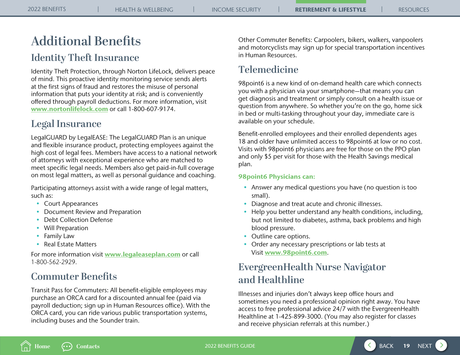# <span id="page-18-0"></span>**Additional Benefits**

# **Identity Theft Insurance**

Identity Theft Protection, through Norton LifeLock, delivers peace of mind. This proactive identity monitoring service sends alerts at the first signs of fraud and restores the misuse of personal information that puts your identity at risk; and is conveniently offered through payroll deductions. For more information, visit [www.nortonlifelock.com](http://www.nortonlifelock.com) or call 1-800-607-9174.

# **Legal Insurance**

LegalGUARD by LegalEASE: The LegalGUARD Plan is an unique and flexible insurance product, protecting employees against the high cost of legal fees. Members have access to a national network of attorneys with exceptional experience who are matched to meet specific legal needs. Members also get paid-in-full coverage on most legal matters, as well as personal guidance and coaching.

Participating attorneys assist with a wide range of legal matters, such as:

- Court Appearances
- Document Review and Preparation
- Debt Collection Defense
- Will Preparation
- Family Law
- Real Estate Matters

For more information visit **[www.legaleaseplan.com](http://www.legaleaseplan.com)** or call 1-800-562-2929.

# **Commuter Benefits**

Transit Pass for Commuters: All benefit-eligible employees may purchase an ORCA card for a discounted annual fee (paid via payroll deduction; sign up in Human Resources office). With the ORCA card, you can ride various public transportation systems, including buses and the Sounder train.

Other Commuter Benefits: Carpoolers, bikers, walkers, vanpoolers and motorcyclists may sign up for special transportation incentives in Human Resources.

# **Telemedicine**

98point6 is a new kind of on-demand health care which connects you with a physician via your smartphone—that means you can get diagnosis and treatment or simply consult on a health issue or question from anywhere. So whether you're on the go, home sick in bed or multi-tasking throughout your day, immediate care is available on your schedule.

Benefit-enrolled employees and their enrolled dependents ages 18 and older have unlimited access to 98point6 at low or no cost. Visits with 98point6 physicians are free for those on the PPO plan and only \$5 per visit for those with the Health Savings medical plan.

## 98point6 Physicians can:

- Answer any medical questions you have (no question is too small).
- Diagnose and treat acute and chronic illnesses.
- Help you better understand any health conditions, including, but not limited to diabetes, asthma, back problems and high blood pressure.
- Outline care options.
- Order any necessary prescriptions or lab tests at Visit [www.98point6.com](http://www.98point6.com).

# **EvergreenHealth Nurse Navigator and Healthline**

Illnesses and injuries don't always keep office hours and sometimes you need a professional opinion right away. You have access to free professional advice 24/7 with the EvergreenHealth Healthline at 1-425-899-3000. (You may also register for classes and receive physician referrals at this number.)

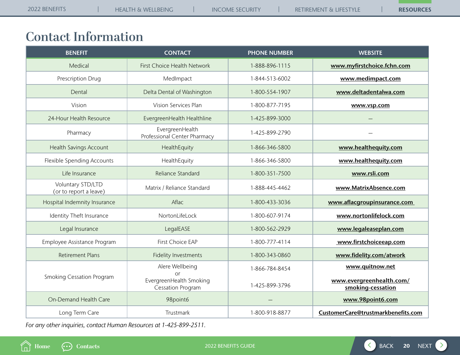# <span id="page-19-0"></span>**Contact Information**

| <b>BENEFIT</b>                              | <b>CONTACT</b>                                            | <b>PHONE NUMBER</b> | <b>WEBSITE</b>                                |
|---------------------------------------------|-----------------------------------------------------------|---------------------|-----------------------------------------------|
| Medical                                     | First Choice Health Network                               | 1-888-896-1115      | www.myfirstchoice.fchn.com                    |
| Prescription Drug                           | MedImpact                                                 | 1-844-513-6002      | www.medimpact.com                             |
| Dental                                      | Delta Dental of Washington                                | 1-800-554-1907      | www.deltadentalwa.com                         |
| Vision                                      | Vision Services Plan                                      | 1-800-877-7195      | www.vsp.com                                   |
| 24-Hour Health Resource                     | EvergreenHealth Healthline                                | 1-425-899-3000      |                                               |
| Pharmacy                                    | EvergreenHealth<br>Professional Center Pharmacy           | 1-425-899-2790      |                                               |
| <b>Health Savings Account</b>               | HealthEquity                                              | 1-866-346-5800      | www.healthequity.com                          |
| Flexible Spending Accounts                  | HealthEquity                                              | 1-866-346-5800      | www.healthequity.com                          |
| Life Insurance                              | Reliance Standard                                         | 1-800-351-7500      | www.rsli.com                                  |
| Voluntary STD/LTD<br>(or to report a leave) | Matrix / Reliance Standard                                | 1-888-445-4462      | www.MatrixAbsence.com                         |
| Hospital Indemnity Insurance                | Aflac                                                     | 1-800-433-3036      | www.aflacgroupinsurance.com                   |
| Identity Theft Insurance                    | NortonLifeLock                                            | 1-800-607-9174      | www.nortonlifelock.com                        |
| Legal Insurance                             | LegalEASE                                                 | 1-800-562-2929      | www.legaleaseplan.com                         |
| Employee Assistance Program                 | First Choice EAP                                          | 1-800-777-4114      | www.firstchoiceeap.com                        |
| <b>Retirement Plans</b>                     | <b>Fidelity Investments</b>                               | 1-800-343-0860      | www.fidelity.com/atwork                       |
|                                             | Alere Wellbeing                                           | 1-866-784-8454      | www.quitnow.net                               |
| <b>Smoking Cessation Program</b>            | or<br>EvergreenHealth Smoking<br><b>Cessation Program</b> | 1-425-899-3796      | www.evergreenhealth.com/<br>smoking-cessation |
| On-Demand Health Care                       | 98point6                                                  |                     | www.98point6.com                              |
| Long Term Care                              | Trustmark                                                 | 1-800-918-8877      | CustomerCare@trustmarkbenefits.com            |

*For any other inquiries, contact Human Resources at 1-425-899-2511.*